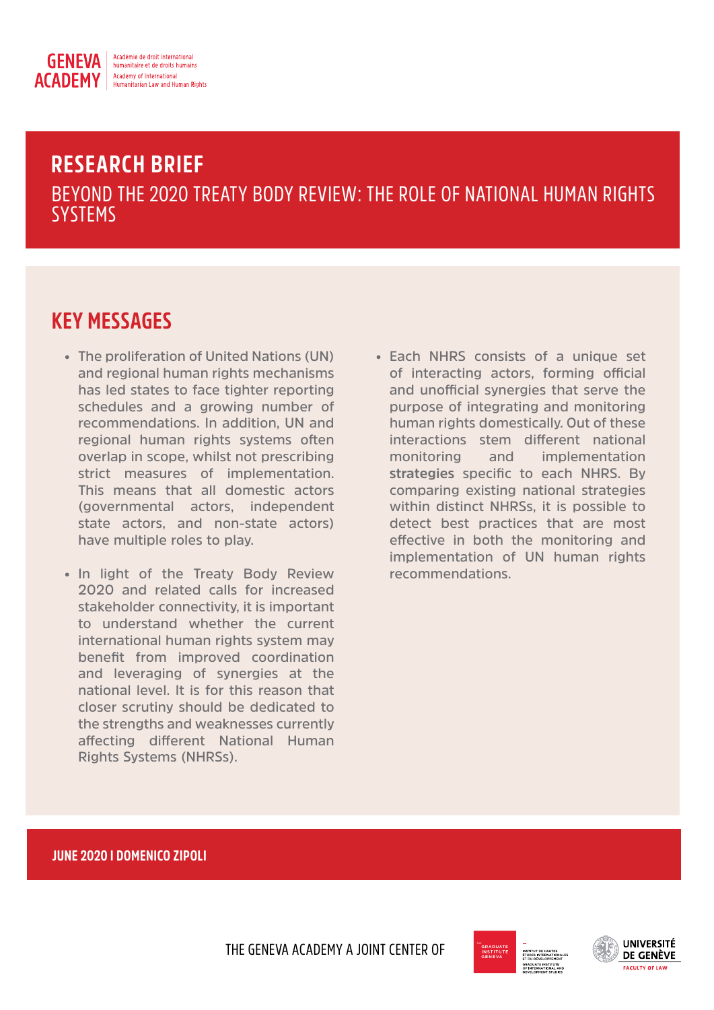

# **RESEARCH BRIEF** BEYOND THE 2020 TREATY BODY REVIEW: THE ROLE OF NATIONAL HUMAN RIGHTS **SYSTEMS**

# **KEY MESSAGES**

- **• The proliferation of United Nations (UN) and regional human rights mechanisms has led states to face tighter reporting schedules and a growing number of recommendations. In addition, UN and regional human rights systems often overlap in scope, whilst not prescribing strict measures of implementation. This means that all domestic actors (governmental actors, independent state actors, and non-state actors) have multiple roles to play.**
- **• In light of the Treaty Body Review 2020 and related calls for increased stakeholder connectivity, it is important to understand whether the current international human rights system may benefit from improved coordination and leveraging of synergies at the national level. It is for this reason that closer scrutiny should be dedicated to the strengths and weaknesses currently affecting different National Human Rights Systems (NHRSs).**
- **• Each NHRS consists of a unique set of interacting actors, forming official and unofficial synergies that serve the purpose of integrating and monitoring human rights domestically. Out of these interactions stem different national monitoring and implementation strategies specific to each NHRS. By comparing existing national strategies within distinct NHRSs, it is possible to detect best practices that are most effective in both the monitoring and implementation of UN human rights recommendations.**

## **JUNE 2020 I DOMENICO ZIPOLI**

THE GENEVA ACADEMY A JOINT CENTER OF



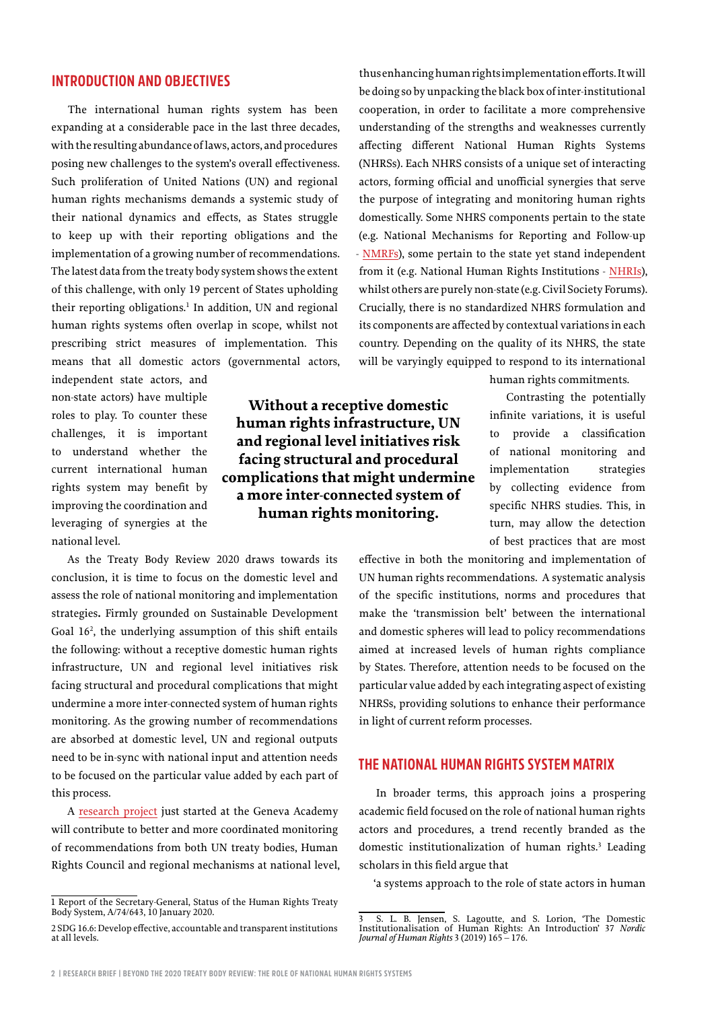## **INTRODUCTION AND OBJECTIVES**

The international human rights system has been expanding at a considerable pace in the last three decades, with the resulting abundance of laws, actors, and procedures posing new challenges to the system's overall effectiveness. Such proliferation of United Nations (UN) and regional human rights mechanisms demands a systemic study of their national dynamics and effects, as States struggle to keep up with their reporting obligations and the implementation of a growing number of recommendations. The latest data from the treaty body system shows the extent of this challenge, with only 19 percent of States upholding their reporting obligations.<sup>1</sup> In addition, UN and regional human rights systems often overlap in scope, whilst not prescribing strict measures of implementation. This means that all domestic actors (governmental actors,

> **Without a receptive domestic human rights infrastructure, UN and regional level initiatives risk facing structural and procedural complications that might undermine a more inter-connected system of human rights monitoring.**

independent state actors, and non-state actors) have multiple roles to play. To counter these challenges, it is important to understand whether the current international human rights system may benefit by improving the coordination and leveraging of synergies at the national level.

As the Treaty Body Review 2020 draws towards its conclusion, it is time to focus on the domestic level and assess the role of national monitoring and implementation strategies**.** Firmly grounded on Sustainable Development Goal 16<sup>2</sup>, the underlying assumption of this shift entails the following: without a receptive domestic human rights infrastructure, UN and regional level initiatives risk facing structural and procedural complications that might undermine a more inter-connected system of human rights monitoring. As the growing number of recommendations are absorbed at domestic level, UN and regional outputs need to be in-sync with national input and attention needs to be focused on the particular value added by each part of this process.

A [research project](https://www.geneva-academy.ch/research/our-project/detail/75-the-role-of-national-human-rights-systems-in-the-implementation-of-international-human-rights-standards-and-recommendations) just started at the Geneva Academy will contribute to better and more coordinated monitoring of recommendations from both UN treaty bodies, Human Rights Council and regional mechanisms at national level,

thus enhancing human rights implementation efforts. It will be doing so by unpacking the black box of inter-institutional cooperation, in order to facilitate a more comprehensive understanding of the strengths and weaknesses currently affecting different National Human Rights Systems (NHRSs). Each NHRS consists of a unique set of interacting actors, forming official and unofficial synergies that serve the purpose of integrating and monitoring human rights domestically. Some NHRS components pertain to the state (e.g. National Mechanisms for Reporting and Follow-up - [NMRFs](https://www.ohchr.org/Documents/Publications/HR_PUB_16_1_NMRF_PracticalGuide.pdf)), some pertain to the state yet stand independent from it (e.g. National Human Rights Institutions - [NHRIs](https://nhri.ohchr.org/EN/Pages/default.aspx)), whilst others are purely non-state (e.g. Civil Society Forums). Crucially, there is no standardized NHRS formulation and its components are affected by contextual variations in each country. Depending on the quality of its NHRS, the state will be varyingly equipped to respond to its international

human rights commitments.

Contrasting the potentially infinite variations, it is useful to provide a classification of national monitoring and implementation strategies by collecting evidence from specific NHRS studies. This, in turn, may allow the detection of best practices that are most

effective in both the monitoring and implementation of UN human rights recommendations. A systematic analysis of the specific institutions, norms and procedures that make the 'transmission belt' between the international and domestic spheres will lead to policy recommendations aimed at increased levels of human rights compliance by States. Therefore, attention needs to be focused on the particular value added by each integrating aspect of existing NHRSs, providing solutions to enhance their performance in light of current reform processes.

## **THE NATIONAL HUMAN RIGHTS SYSTEM MATRIX**

In broader terms, this approach joins a prospering academic field focused on the role of national human rights actors and procedures, a trend recently branded as the domestic institutionalization of human rights.<sup>3</sup> Leading scholars in this field argue that

'a systems approach to the role of state actors in human

<sup>1</sup> Report of the Secretary-General, Status of the Human Rights Treaty Body System, A/74/643, 10 January 2020.

<sup>2</sup> SDG 16.6: Develop effective, accountable and transparent institutions at all levels.

<sup>3</sup> S. L. B. Jensen, S. Lagoutte, and S. Lorion, 'The Domestic Institutionalisation of Human Rights: An Introduction' 37 *Nordic Journal of Human Rights* 3 (2019) 165 – 176.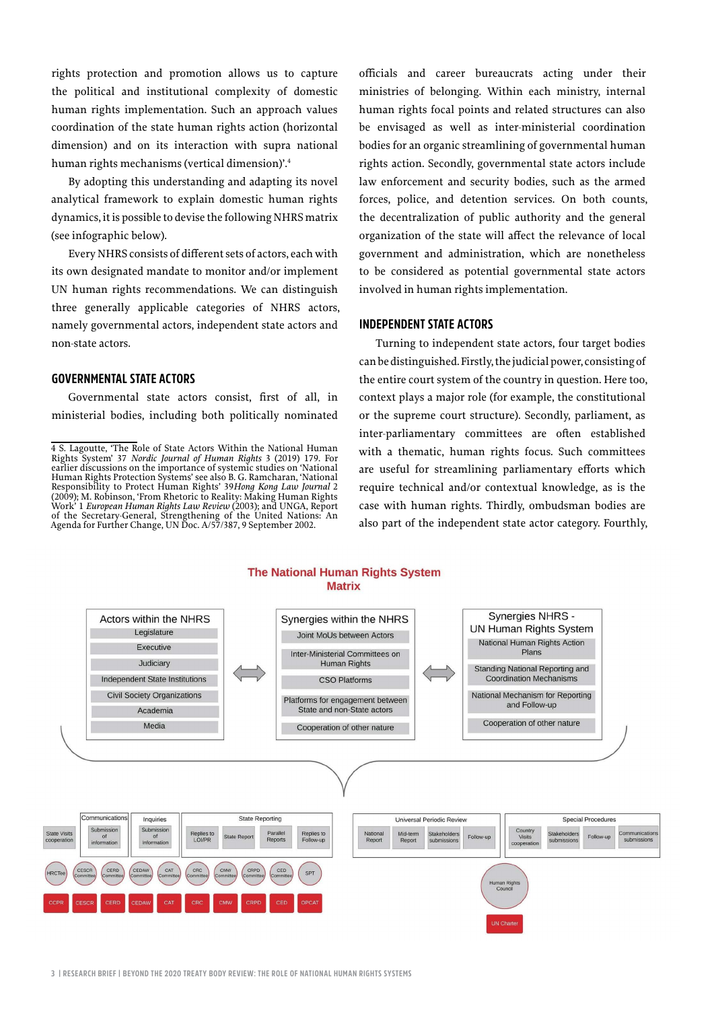rights protection and promotion allows us to capture the political and institutional complexity of domestic human rights implementation. Such an approach values coordination of the state human rights action (horizontal dimension) and on its interaction with supra national human rights mechanisms (vertical dimension)'.4

By adopting this understanding and adapting its novel analytical framework to explain domestic human rights dynamics, it is possible to devise the following NHRS matrix (see infographic below).

Every NHRS consists of different sets of actors, each with its own designated mandate to monitor and/or implement UN human rights recommendations. We can distinguish three generally applicable categories of NHRS actors, namely governmental actors, independent state actors and non-state actors.

#### **GOVERNMENTAL STATE ACTORS**

Governmental state actors consist, first of all, in ministerial bodies, including both politically nominated officials and career bureaucrats acting under their ministries of belonging. Within each ministry, internal human rights focal points and related structures can also be envisaged as well as inter-ministerial coordination bodies for an organic streamlining of governmental human rights action. Secondly, governmental state actors include law enforcement and security bodies, such as the armed forces, police, and detention services. On both counts, the decentralization of public authority and the general organization of the state will affect the relevance of local government and administration, which are nonetheless to be considered as potential governmental state actors involved in human rights implementation.

### **INDEPENDENT STATE ACTORS**

Turning to independent state actors, four target bodies can be distinguished. Firstly, the judicial power, consisting of the entire court system of the country in question. Here too, context plays a major role (for example, the constitutional or the supreme court structure). Secondly, parliament, as inter-parliamentary committees are often established with a thematic, human rights focus. Such committees are useful for streamlining parliamentary efforts which require technical and/or contextual knowledge, as is the case with human rights. Thirdly, ombudsman bodies are also part of the independent state actor category. Fourthly,

#### **The National Human Rights System Matrix**



<sup>4</sup> S. Lagoutte, 'The Role of State Actors Within the National Human Rights System' 37 *Nordic Journal of Human Rights* 3 (2019) 179. For earlier discussions on the importance of systemic studies on 'National Human Rights Protection Systems' see also B. G. Ramcharan, 'National Responsibility to Protect Human Rights' 39*Hong Kong Law Journal* 2 (2009); M. Robinson, 'From Rhetoric to Reality: Making Human Rights Work' 1 *European Human Rights Law Review* (2003); and UNGA, Report of the Secretary-General, Strengthening of the United Nations: An Agenda for Further Change, UN Doc. A/57/387, 9 September 2002.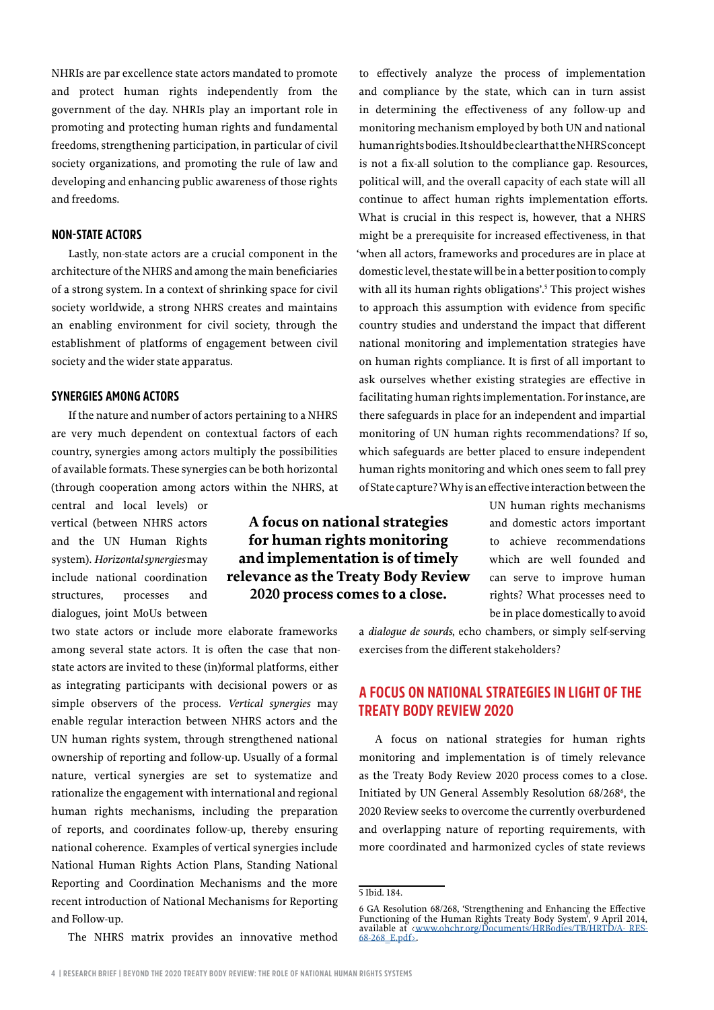NHRIs are par excellence state actors mandated to promote and protect human rights independently from the government of the day. NHRIs play an important role in promoting and protecting human rights and fundamental freedoms, strengthening participation, in particular of civil society organizations, and promoting the rule of law and developing and enhancing public awareness of those rights and freedoms.

## **NON-STATE ACTORS**

Lastly, non-state actors are a crucial component in the architecture of the NHRS and among the main beneficiaries of a strong system. In a context of shrinking space for civil society worldwide, a strong NHRS creates and maintains an enabling environment for civil society, through the establishment of platforms of engagement between civil society and the wider state apparatus.

#### **SYNERGIES AMONG ACTORS**

If the nature and number of actors pertaining to a NHRS are very much dependent on contextual factors of each country, synergies among actors multiply the possibilities of available formats. These synergies can be both horizontal (through cooperation among actors within the NHRS, at

central and local levels) or vertical (between NHRS actors and the UN Human Rights system). *Horizontal synergies* may include national coordination structures, processes and dialogues, joint MoUs between

two state actors or include more elaborate frameworks among several state actors. It is often the case that nonstate actors are invited to these (in)formal platforms, either as integrating participants with decisional powers or as simple observers of the process. *Vertical synergies* may enable regular interaction between NHRS actors and the UN human rights system, through strengthened national ownership of reporting and follow-up. Usually of a formal nature, vertical synergies are set to systematize and rationalize the engagement with international and regional human rights mechanisms, including the preparation of reports, and coordinates follow-up, thereby ensuring national coherence. Examples of vertical synergies include National Human Rights Action Plans, Standing National Reporting and Coordination Mechanisms and the more recent introduction of National Mechanisms for Reporting and Follow-up.

The NHRS matrix provides an innovative method

**A focus on national strategies for human rights monitoring and implementation is of timely relevance as the Treaty Body Review 2020 process comes to a close.**

to effectively analyze the process of implementation and compliance by the state, which can in turn assist in determining the effectiveness of any follow-up and monitoring mechanism employed by both UN and national human rights bodies. It should be clear that the NHRS concept is not a fix-all solution to the compliance gap. Resources, political will, and the overall capacity of each state will all continue to affect human rights implementation efforts. What is crucial in this respect is, however, that a NHRS might be a prerequisite for increased effectiveness, in that 'when all actors, frameworks and procedures are in place at domestic level, the state will be in a better position to comply with all its human rights obligations'.<sup>5</sup> This project wishes to approach this assumption with evidence from specific country studies and understand the impact that different national monitoring and implementation strategies have on human rights compliance. It is first of all important to ask ourselves whether existing strategies are effective in facilitating human rights implementation. For instance, are there safeguards in place for an independent and impartial monitoring of UN human rights recommendations? If so, which safeguards are better placed to ensure independent human rights monitoring and which ones seem to fall prey of State capture? Why is an effective interaction between the

> UN human rights mechanisms and domestic actors important to achieve recommendations which are well founded and can serve to improve human rights? What processes need to be in place domestically to avoid

a *dialogue de sourds*, echo chambers, or simply self-serving exercises from the different stakeholders?

# **A FOCUS ON NATIONAL STRATEGIES IN LIGHT OF THE TREATY BODY REVIEW 2020**

A focus on national strategies for human rights monitoring and implementation is of timely relevance as the Treaty Body Review 2020 process comes to a close. Initiated by UN General Assembly Resolution 68/268<sup>6</sup>, the 2020 Review seeks to overcome the currently overburdened and overlapping nature of reporting requirements, with more coordinated and harmonized cycles of state reviews

<sup>5</sup> Ibid. 184.

<sup>6</sup> GA Resolution 68/268, 'Strengthening and Enhancing the Effective Functioning of the Human Rights Treaty Body System', 9 April 2014, available at <[www.ohchr.org/Documents/HRBodies/TB/HRTD/A- RES-](http://www.ohchr.org/Documents/HRBodies/TB/HRTD/A-RES-68-268_E.pdf)[68-268\\_E.pdf](http://www.ohchr.org/Documents/HRBodies/TB/HRTD/A-RES-68-268_E.pdf)>.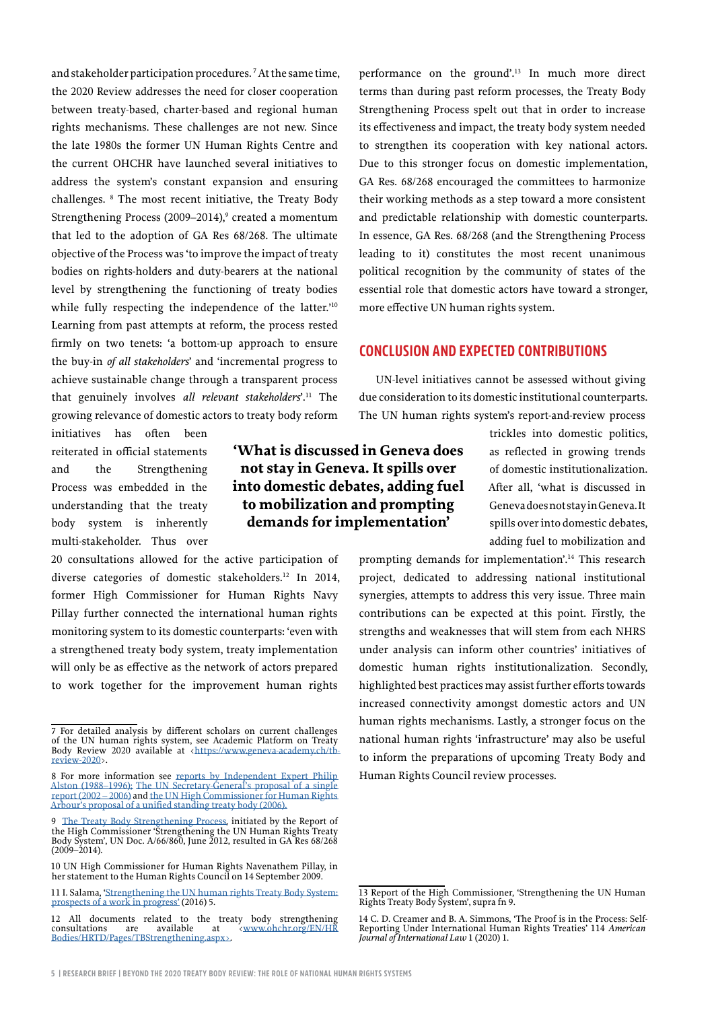and stakeholder participation procedures. 7 At the same time, the 2020 Review addresses the need for closer cooperation between treaty-based, charter-based and regional human rights mechanisms. These challenges are not new. Since the late 1980s the former UN Human Rights Centre and the current OHCHR have launched several initiatives to address the system's constant expansion and ensuring challenges. 8 The most recent initiative, the Treaty Body Strengthening Process (2009–2014),<sup>9</sup> created a momentum that led to the adoption of GA Res 68/268. The ultimate objective of the Process was 'to improve the impact of treaty bodies on rights-holders and duty-bearers at the national level by strengthening the functioning of treaty bodies while fully respecting the independence of the latter.'<sup>10</sup> Learning from past attempts at reform, the process rested firmly on two tenets: 'a bottom-up approach to ensure the buy-in *of all stakeholders*' and 'incremental progress to achieve sustainable change through a transparent process that genuinely involves *all relevant stakeholders*'.11 The growing relevance of domestic actors to treaty body reform

initiatives has often been reiterated in official statements and the Strengthening Process was embedded in the understanding that the treaty body system is inherently multi-stakeholder. Thus over

20 consultations allowed for the active participation of diverse categories of domestic stakeholders.12 In 2014, former High Commissioner for Human Rights Navy Pillay further connected the international human rights monitoring system to its domestic counterparts: 'even with a strengthened treaty body system, treaty implementation will only be as effective as the network of actors prepared to work together for the improvement human rights

performance on the ground'.13 In much more direct terms than during past reform processes, the Treaty Body Strengthening Process spelt out that in order to increase its effectiveness and impact, the treaty body system needed to strengthen its cooperation with key national actors. Due to this stronger focus on domestic implementation, GA Res. 68/268 encouraged the committees to harmonize their working methods as a step toward a more consistent and predictable relationship with domestic counterparts. In essence, GA Res. 68/268 (and the Strengthening Process leading to it) constitutes the most recent unanimous political recognition by the community of states of the essential role that domestic actors have toward a stronger, more effective UN human rights system.

## **CONCLUSION AND EXPECTED CONTRIBUTIONS**

UN-level initiatives cannot be assessed without giving due consideration to its domestic institutional counterparts. The UN human rights system's report-and-review process

# **'What is discussed in Geneva does not stay in Geneva. It spills over into domestic debates, adding fuel to mobilization and prompting demands for implementation'**

trickles into domestic politics, as reflected in growing trends of domestic institutionalization. After all, 'what is discussed in Geneva does not stay in Geneva. It spills over into domestic debates, adding fuel to mobilization and

prompting demands for implementation'.14 This research project, dedicated to addressing national institutional synergies, attempts to address this very issue. Three main contributions can be expected at this point. Firstly, the strengths and weaknesses that will stem from each NHRS under analysis can inform other countries' initiatives of domestic human rights institutionalization. Secondly, highlighted best practices may assist further efforts towards increased connectivity amongst domestic actors and UN human rights mechanisms. Lastly, a stronger focus on the national human rights 'infrastructure' may also be useful to inform the preparations of upcoming Treaty Body and Human Rights Council review processes.

<sup>7</sup> For detailed analysis by different scholars on current challenges of the UN human rights system, see Academic Platform on Treaty Body Review 2020 available at [<https://www.geneva-academy.ch/tb](https://www.geneva-academy.ch/tb-review-2020)[review-2020](https://www.geneva-academy.ch/tb-review-2020)>.

<sup>8</sup> For more information see reports by Independent Expert Philip [Alston \(1988–1996\);](https://www.ohchr.org/EN/HRBodies/HRTD/Pages/FirstBiennialReportbySG.aspx#Alston) [The UN Secretary-General's proposal of a single](https://www.ohchr.org/EN/HRBodies/HRTD/Pages/FirstBiennialReportbySG.aspx#SingleReport)  [report \(2002 – 2006\)](https://www.ohchr.org/EN/HRBodies/HRTD/Pages/FirstBiennialReportbySG.aspx#SingleReport) and [the UN High Commissioner for Human Rights](https://www.ohchr.org/EN/HRBodies/HRTD/Pages/FirstBiennialReportbySG.aspx#proposals)  [Arbour's proposal of a unified standing treaty body \(2006\).](https://www.ohchr.org/EN/HRBodies/HRTD/Pages/FirstBiennialReportbySG.aspx#proposals)

<sup>9</sup> [The Treaty Body Strengthening Process,](https://www.ohchr.org/EN/HRBodies/HRTD/Pages/FirstBiennialReportbySG.aspx#treaty) initiated by the Report of the High Commissioner 'Strengthening the UN Human Rights Treaty Body System', UN Doc. A/66/860, June 2012, resulted in GA Res 68/268  $(2009 - 2014)$ 

<sup>10</sup> UN High Commissioner for Human Rights Navenathem Pillay, in her statement to the Human Rights Council on 14 September 2009.

<sup>11</sup> I. Salama, ['Strengthening the UN human rights Treaty Body System:](http://www.geneva-academy.ch/joomlatools-files/docman-files/Ibrahim%20Salama%20-%20Strenghtening%20the%20UN%20human%20rights%20TBs.pdf.)  [prospects of a work in progress'](http://www.geneva-academy.ch/joomlatools-files/docman-files/Ibrahim%20Salama%20-%20Strenghtening%20the%20UN%20human%20rights%20TBs.pdf.) (2016) 5.

<sup>12</sup> All documents related to the treaty body strengthening consultations are available at  $\langle$ www.ohchr.org/EN/HR consultations are available at <[www.ohchr.org/EN/HR](http://http://www.ohchr.org/EN/HRBodies/HRTD/Pages/TBStrengthening.aspx) [Bodies/HRTD/Pages/TBStrengthening.aspx>](http://http://www.ohchr.org/EN/HRBodies/HRTD/Pages/TBStrengthening.aspx).

<sup>13</sup> Report of the High Commissioner, 'Strengthening the UN Human Rights Treaty Body System', supra fn 9.

<sup>14</sup> C. D. Creamer and B. A. Simmons, 'The Proof is in the Process: Self-Reporting Under International Human Rights Treaties' 114 *American Journal of International Law* 1 (2020) 1.